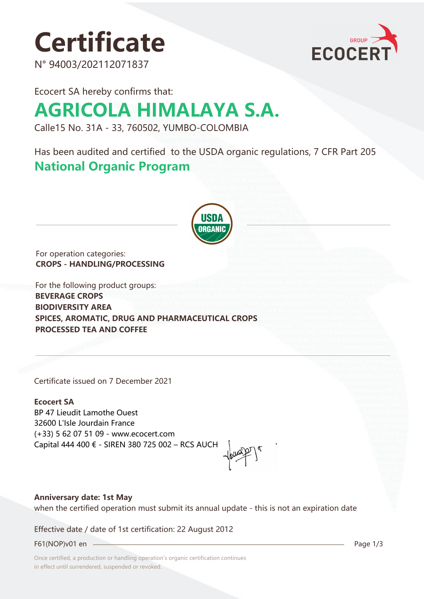# **Certificate**

N° 94003/202112071837



Ecocert SA hereby confirms that:

## **AGRICOLA HIMALAYA S.A.**

Calle15 No. 31A - 33, 760502, YUMBO-COLOMBIA

Has been audited and certified to the USDA organic regulations, 7 CFR Part 205 **National Organic Program** 



For operation categories: **CROPS - HANDLING/PROCESSING**

For the following product groups: **BEVERAGE CROPS BIODIVERSITY AREA SPICES, AROMATIC, DRUG AND PHARMACEUTICAL CROPS PROCESSED TEA AND COFFEE**

Certificate issued on 7 December 2021

**Ecocert SA** BP 47 Lieudit Lamothe Ouest 32600 L'Isle Jourdain France (+33) 5 62 07 51 09 - www.ecocert.com Capital 444 400 € - SIREN 380 725 002 – RCS AUCH

## **Anniversary date: 1st May**

when the certified operation must submit its annual update - this is not an expiration date

Effective date / date of 1st certification: 22 August 2012

F61(NOP)v01 en 2012 Page 1/3

Once certified, a production or handling operation's organic certification continues in effect until surrendered, suspended or revoked.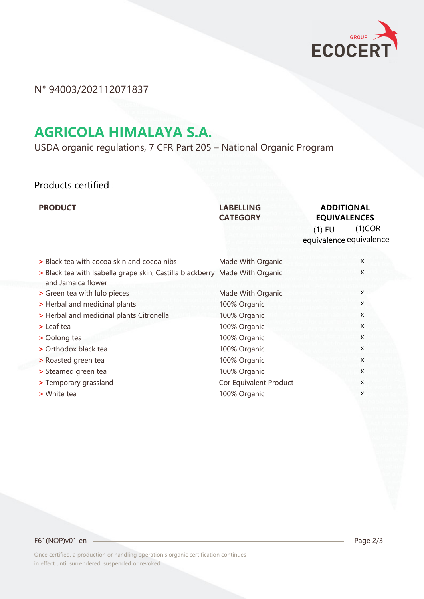

N° 94003/202112071837

## **AGRICOLA HIMALAYA S.A.**

USDA organic regulations, 7 CFR Part 205 – National Organic Program

## Products certified :

## **LABELLING CATEGORY**

## **PRODUCT CONSUMING ADDITIONAL RESOLUTION AND ADDITIONAL EQUIVALENCES**

(1)COR equivalence equivalence (1) EU

| > Black tea with cocoa skin and cocoa nibs                                  | Made With Organic      | x |
|-----------------------------------------------------------------------------|------------------------|---|
| > Black tea with Isabella grape skin, Castilla blackberry Made With Organic |                        | X |
| and Jamaica flower                                                          |                        |   |
| > Green tea with lulo pieces                                                | Made With Organic      | X |
| > Herbal and medicinal plants                                               | 100% Organic           | X |
| > Herbal and medicinal plants Citronella                                    | 100% Organic           | X |
| > Leaf tea                                                                  | 100% Organic           | X |
| > Oolong tea                                                                | 100% Organic           | X |
| > Orthodox black tea                                                        | 100% Organic           | X |
| > Roasted green tea                                                         | 100% Organic           | X |
| > Steamed green tea                                                         | 100% Organic           | X |
| > Temporary grassland                                                       | Cor Equivalent Product | X |
| > White tea                                                                 | 100% Organic           | X |

### F61(NOP)v01 en 2/3

Once certified, a production or handling operation's organic certification continues in effect until surrendered, suspended or revoked.